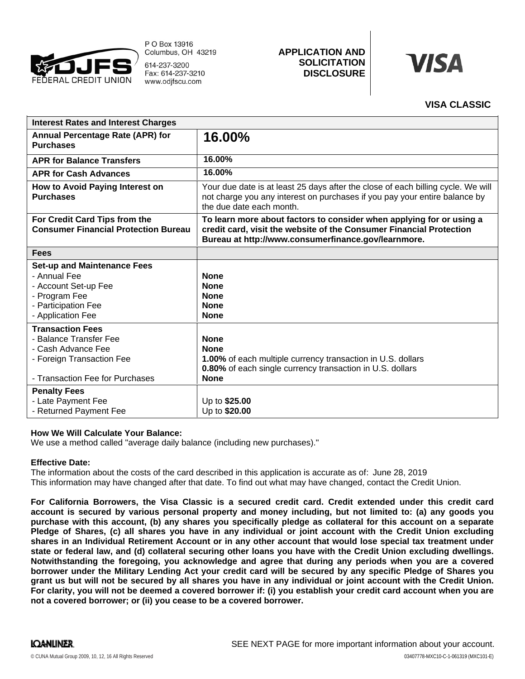

P O Box 13916 Columbus, OH 43219 614-237-3200

Fax: 614-237-3210 www.odjfscu.com

# **APPLICATION AND SOLICITATION DISCLOSURE**



### **VISA CLASSIC**

| <b>Interest Rates and Interest Charges</b>                                   |                                                                                                                                                                                                    |
|------------------------------------------------------------------------------|----------------------------------------------------------------------------------------------------------------------------------------------------------------------------------------------------|
| Annual Percentage Rate (APR) for<br><b>Purchases</b>                         | 16.00%                                                                                                                                                                                             |
| <b>APR for Balance Transfers</b>                                             | 16.00%                                                                                                                                                                                             |
| <b>APR for Cash Advances</b>                                                 | 16.00%                                                                                                                                                                                             |
| How to Avoid Paying Interest on<br><b>Purchases</b>                          | Your due date is at least 25 days after the close of each billing cycle. We will<br>not charge you any interest on purchases if you pay your entire balance by<br>the due date each month.         |
| For Credit Card Tips from the<br><b>Consumer Financial Protection Bureau</b> | To learn more about factors to consider when applying for or using a<br>credit card, visit the website of the Consumer Financial Protection<br>Bureau at http://www.consumerfinance.gov/learnmore. |
| <b>Fees</b>                                                                  |                                                                                                                                                                                                    |
| <b>Set-up and Maintenance Fees</b>                                           |                                                                                                                                                                                                    |
| - Annual Fee                                                                 | <b>None</b>                                                                                                                                                                                        |
| - Account Set-up Fee                                                         | <b>None</b>                                                                                                                                                                                        |
| - Program Fee                                                                | <b>None</b>                                                                                                                                                                                        |
| - Participation Fee                                                          | <b>None</b>                                                                                                                                                                                        |
| - Application Fee                                                            | <b>None</b>                                                                                                                                                                                        |
| <b>Transaction Fees</b>                                                      |                                                                                                                                                                                                    |
| - Balance Transfer Fee                                                       | <b>None</b>                                                                                                                                                                                        |
| - Cash Advance Fee                                                           | <b>None</b>                                                                                                                                                                                        |
| - Foreign Transaction Fee                                                    | 1.00% of each multiple currency transaction in U.S. dollars                                                                                                                                        |
|                                                                              | 0.80% of each single currency transaction in U.S. dollars                                                                                                                                          |
| - Transaction Fee for Purchases                                              | <b>None</b>                                                                                                                                                                                        |
| <b>Penalty Fees</b>                                                          |                                                                                                                                                                                                    |
| - Late Payment Fee                                                           | Up to \$25.00                                                                                                                                                                                      |
| - Returned Payment Fee                                                       | Up to \$20.00                                                                                                                                                                                      |

#### **How We Will Calculate Your Balance:**

We use a method called "average daily balance (including new purchases)."

#### **Effective Date:**

The information about the costs of the card described in this application is accurate as of: June 28, 2019This information may have changed after that date. To find out what may have changed, contact the Credit Union.

For California Borrowers, the Visa Classic is a secured credit card. Credit extended under this credit card account is secured by various personal property and money including, but not limited to: (a) any goods you purchase with this account, (b) any shares you specifically pledge as collateral for this account on a separate Pledge of Shares, (c) all shares you have in any individual or joint account with the Credit Union excluding shares in an Individual Retirement Account or in any other account that would lose special tax treatment under state or federal law, and (d) collateral securing other loans you have with the Credit Union excluding dwellings. **Notwithstanding the foregoing, you acknowledge and agree that during any periods when you are a covered** borrower under the Military Lending Act your credit card will be secured by any specific Pledge of Shares you grant us but will not be secured by all shares you have in any individual or joint account with the Credit Union. For clarity, you will not be deemed a covered borrower if: (i) you establish your credit card account when you are **not a covered borrower; or (ii) you cease to be a covered borrower.**